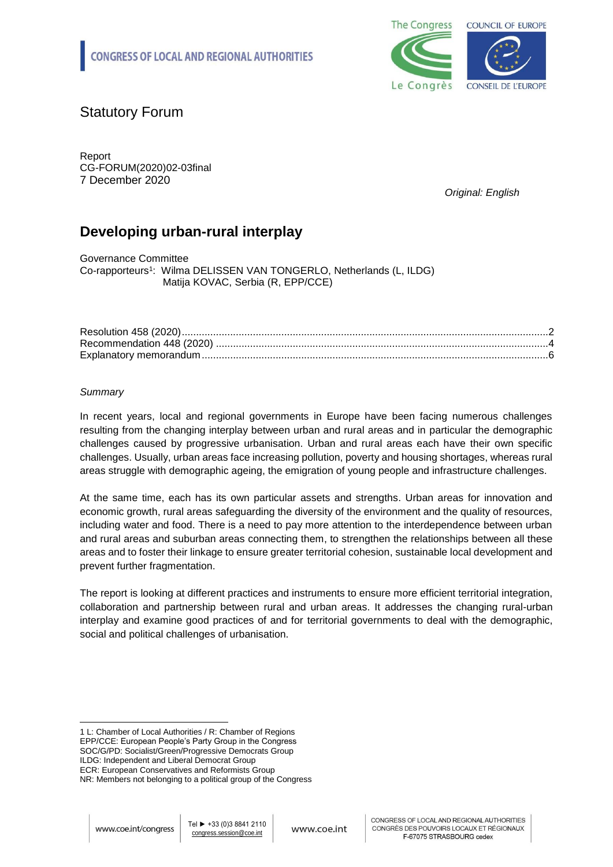

# Statutory Forum

Report CG-FORUM(2020)02-03final 7 December 2020

*Original: English*

# **Developing urban-rural interplay**

Governance Committee Co-rapporteurs<sup>1</sup>: Wilma DELISSEN VAN TONGERLO, Netherlands (L, ILDG) Matija KOVAC, Serbia (R, EPP/CCE)

# *Summary*

In recent years, local and regional governments in Europe have been facing numerous challenges resulting from the changing interplay between urban and rural areas and in particular the demographic challenges caused by progressive urbanisation. Urban and rural areas each have their own specific challenges. Usually, urban areas face increasing pollution, poverty and housing shortages, whereas rural areas struggle with demographic ageing, the emigration of young people and infrastructure challenges.

At the same time, each has its own particular assets and strengths. Urban areas for innovation and economic growth, rural areas safeguarding the diversity of the environment and the quality of resources, including water and food. There is a need to pay more attention to the interdependence between urban and rural areas and suburban areas connecting them, to strengthen the relationships between all these areas and to foster their linkage to ensure greater territorial cohesion, sustainable local development and prevent further fragmentation.

The report is looking at different practices and instruments to ensure more efficient territorial integration, collaboration and partnership between rural and urban areas. It addresses the changing rural-urban interplay and examine good practices of and for territorial governments to deal with the demographic, social and political challenges of urbanisation.

<sup>-</sup>1 L: Chamber of Local Authorities / R: Chamber of Regions EPP/CCE: European People's Party Group in the Congress SOC/G/PD: Socialist/Green/Progressive Democrats Group ILDG: Independent and Liberal Democrat Group ECR: European Conservatives and Reformists Group

NR: Members not belonging to a political group of the Congress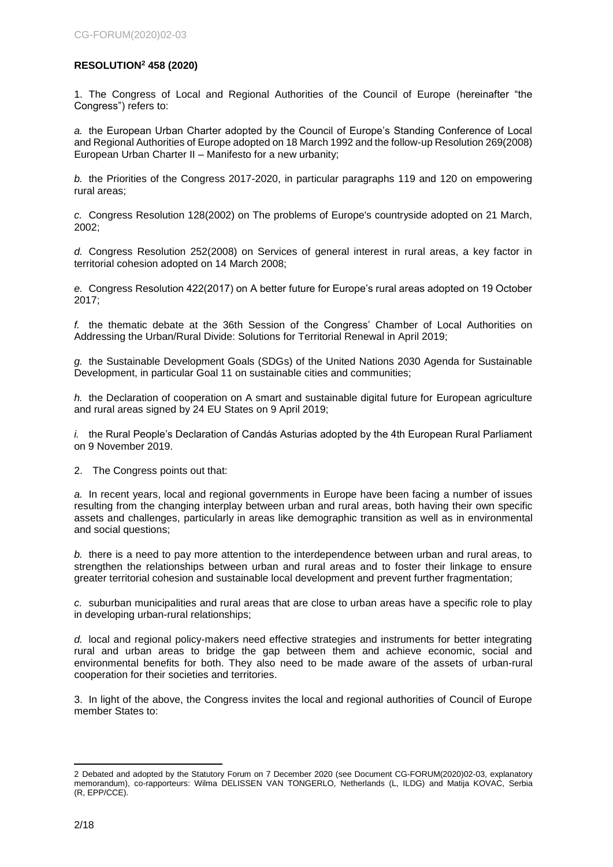# <span id="page-1-0"></span>**RESOLUTION<sup>2</sup> 458 (2020)**

1. The Congress of Local and Regional Authorities of the Council of Europe (hereinafter "the Congress") refers to:

*a.* the European Urban Charter adopted by the Council of Europe's Standing Conference of Local and Regional Authorities of Europe adopted on 18 March 1992 and the follow-up Resolution 269(2008) European Urban Charter II – Manifesto for a new urbanity;

*b.* the Priorities of the Congress 2017-2020, in particular paragraphs 119 and 120 on empowering rural areas;

*c.* Congress Resolution 128(2002) on The problems of Europe's countryside adopted on 21 March, 2002;

*d.* Congress Resolution 252(2008) on Services of general interest in rural areas, a key factor in territorial cohesion adopted on 14 March 2008;

*e.* Congress Resolution 422(2017) on A better future for Europe's rural areas adopted on 19 October 2017;

*f.* the thematic debate at the 36th Session of the Congress' Chamber of Local Authorities on Addressing the Urban/Rural Divide: Solutions for Territorial Renewal in April 2019;

*g.* the Sustainable Development Goals (SDGs) of the United Nations 2030 Agenda for Sustainable Development, in particular Goal 11 on sustainable cities and communities;

*h.* the Declaration of cooperation on A smart and sustainable digital future for European agriculture and rural areas signed by 24 EU States on 9 April 2019;

*i.* the Rural People's Declaration of Candás Asturias adopted by the 4th European Rural Parliament on 9 November 2019.

2. The Congress points out that:

*a.* In recent years, local and regional governments in Europe have been facing a number of issues resulting from the changing interplay between urban and rural areas, both having their own specific assets and challenges, particularly in areas like demographic transition as well as in environmental and social questions;

*b.* there is a need to pay more attention to the interdependence between urban and rural areas, to strengthen the relationships between urban and rural areas and to foster their linkage to ensure greater territorial cohesion and sustainable local development and prevent further fragmentation;

*c.* suburban municipalities and rural areas that are close to urban areas have a specific role to play in developing urban-rural relationships;

*d.* local and regional policy-makers need effective strategies and instruments for better integrating rural and urban areas to bridge the gap between them and achieve economic, social and environmental benefits for both. They also need to be made aware of the assets of urban-rural cooperation for their societies and territories.

3. In light of the above, the Congress invites the local and regional authorities of Council of Europe member States to:

<sup>-</sup>2 Debated and adopted by the Statutory Forum on 7 December 2020 (see Document CG-FORUM(2020)02-03, explanatory memorandum), co-rapporteurs: Wilma DELISSEN VAN TONGERLO, Netherlands (L, ILDG) and Matija KOVAC, Serbia (R, EPP/CCE).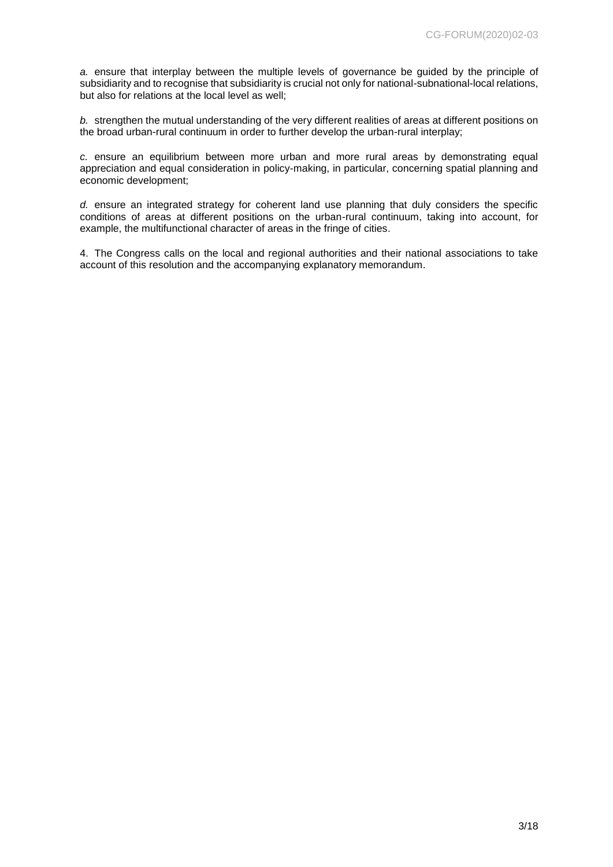*a.* ensure that interplay between the multiple levels of governance be guided by the principle of subsidiarity and to recognise that subsidiarity is crucial not only for national-subnational-local relations, but also for relations at the local level as well;

*b.* strengthen the mutual understanding of the very different realities of areas at different positions on the broad urban-rural continuum in order to further develop the urban-rural interplay;

*c.* ensure an equilibrium between more urban and more rural areas by demonstrating equal appreciation and equal consideration in policy-making, in particular, concerning spatial planning and economic development;

*d.* ensure an integrated strategy for coherent land use planning that duly considers the specific conditions of areas at different positions on the urban-rural continuum, taking into account, for example, the multifunctional character of areas in the fringe of cities.

4. The Congress calls on the local and regional authorities and their national associations to take account of this resolution and the accompanying explanatory memorandum.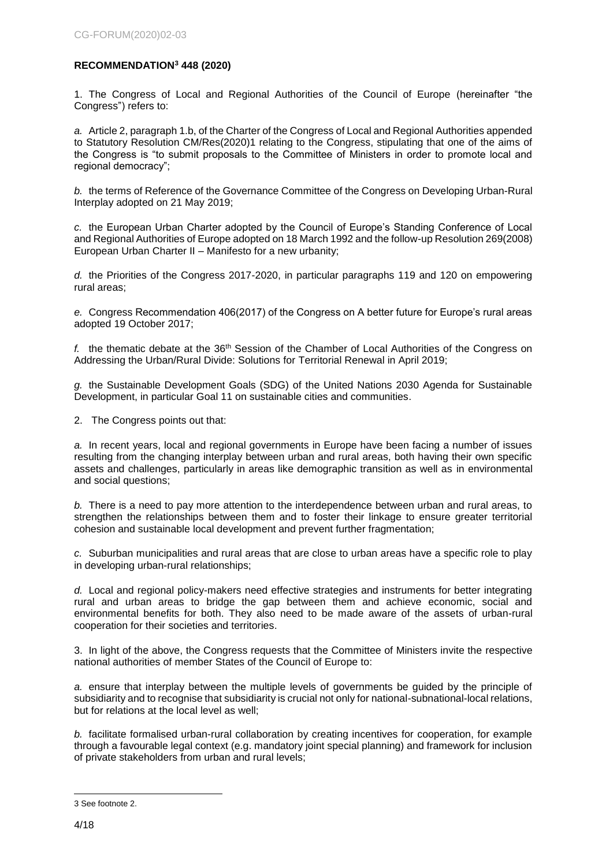# <span id="page-3-0"></span>**RECOMMENDATION<sup>3</sup> 448 (2020)**

1. The Congress of Local and Regional Authorities of the Council of Europe (hereinafter "the Congress") refers to:

*a.* Article 2, paragraph 1.b, of the Charter of the Congress of Local and Regional Authorities appended to Statutory Resolution CM/Res(2020)1 relating to the Congress, stipulating that one of the aims of the Congress is "to submit proposals to the Committee of Ministers in order to promote local and regional democracy";

*b.* the terms of Reference of the Governance Committee of the Congress on Developing Urban-Rural Interplay adopted on 21 May 2019;

*c.* the European Urban Charter adopted by the Council of Europe's Standing Conference of Local and Regional Authorities of Europe adopted on 18 March 1992 and the follow-up Resolution 269(2008) European Urban Charter II – Manifesto for a new urbanity;

*d.* the Priorities of the Congress 2017-2020, in particular paragraphs 119 and 120 on empowering rural areas;

*e.* Congress Recommendation 406(2017) of the Congress on A better future for Europe's rural areas adopted 19 October 2017;

*f.* the thematic debate at the 36th Session of the Chamber of Local Authorities of the Congress on Addressing the Urban/Rural Divide: Solutions for Territorial Renewal in April 2019;

*g.* the Sustainable Development Goals (SDG) of the United Nations 2030 Agenda for Sustainable Development, in particular Goal 11 on sustainable cities and communities.

2. The Congress points out that:

*a.* In recent years, local and regional governments in Europe have been facing a number of issues resulting from the changing interplay between urban and rural areas, both having their own specific assets and challenges, particularly in areas like demographic transition as well as in environmental and social questions;

*b.* There is a need to pay more attention to the interdependence between urban and rural areas, to strengthen the relationships between them and to foster their linkage to ensure greater territorial cohesion and sustainable local development and prevent further fragmentation;

*c.* Suburban municipalities and rural areas that are close to urban areas have a specific role to play in developing urban-rural relationships;

*d.* Local and regional policy-makers need effective strategies and instruments for better integrating rural and urban areas to bridge the gap between them and achieve economic, social and environmental benefits for both. They also need to be made aware of the assets of urban-rural cooperation for their societies and territories.

3. In light of the above, the Congress requests that the Committee of Ministers invite the respective national authorities of member States of the Council of Europe to:

*a.* ensure that interplay between the multiple levels of governments be guided by the principle of subsidiarity and to recognise that subsidiarity is crucial not only for national-subnational-local relations, but for relations at the local level as well;

*b.* facilitate formalised urban-rural collaboration by creating incentives for cooperation, for example through a favourable legal context (e.g. mandatory joint special planning) and framework for inclusion of private stakeholders from urban and rural levels;

<sup>-</sup>3 See footnote 2.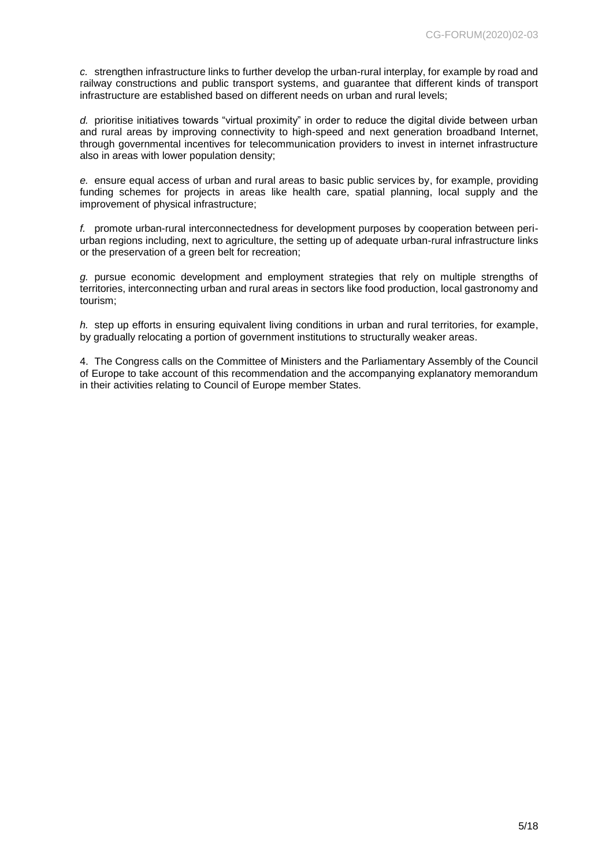*c.* strengthen infrastructure links to further develop the urban-rural interplay, for example by road and railway constructions and public transport systems, and guarantee that different kinds of transport infrastructure are established based on different needs on urban and rural levels;

*d.* prioritise initiatives towards "virtual proximity" in order to reduce the digital divide between urban and rural areas by improving connectivity to high-speed and next generation broadband Internet, through governmental incentives for telecommunication providers to invest in internet infrastructure also in areas with lower population density;

*e.* ensure equal access of urban and rural areas to basic public services by, for example, providing funding schemes for projects in areas like health care, spatial planning, local supply and the improvement of physical infrastructure;

*f.* promote urban-rural interconnectedness for development purposes by cooperation between periurban regions including, next to agriculture, the setting up of adequate urban-rural infrastructure links or the preservation of a green belt for recreation;

*g.* pursue economic development and employment strategies that rely on multiple strengths of territories, interconnecting urban and rural areas in sectors like food production, local gastronomy and tourism;

*h.* step up efforts in ensuring equivalent living conditions in urban and rural territories, for example, by gradually relocating a portion of government institutions to structurally weaker areas.

4. The Congress calls on the Committee of Ministers and the Parliamentary Assembly of the Council of Europe to take account of this recommendation and the accompanying explanatory memorandum in their activities relating to Council of Europe member States.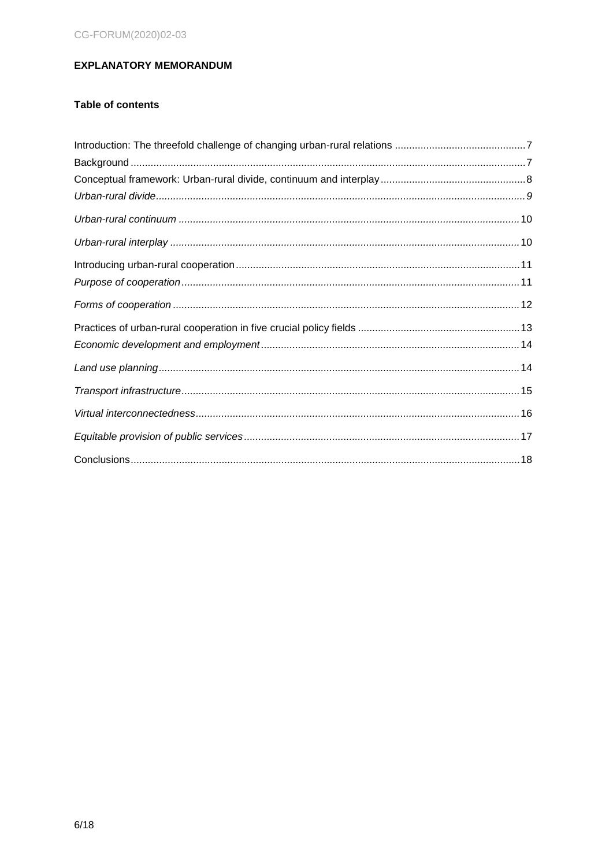# <span id="page-5-0"></span>**EXPLANATORY MEMORANDUM**

# **Table of contents**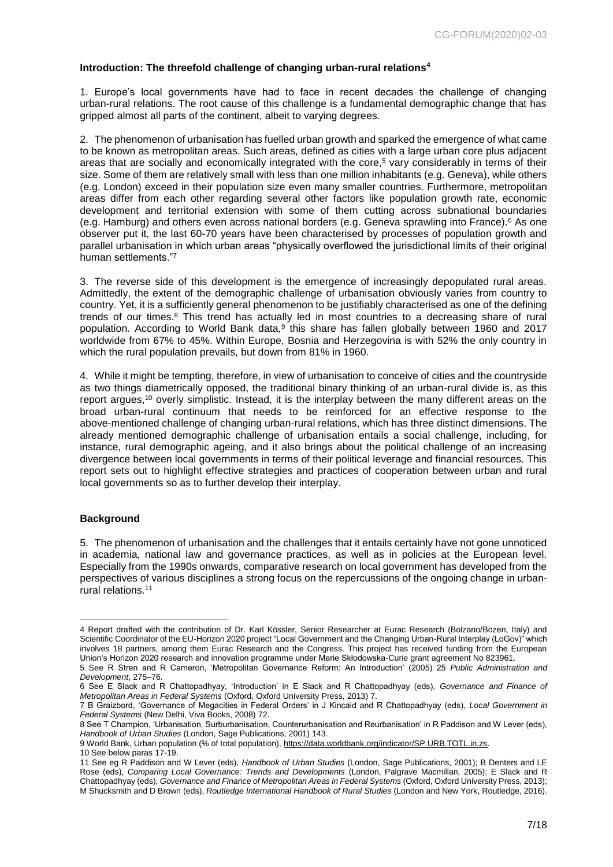### <span id="page-6-0"></span>**Introduction: The threefold challenge of changing urban-rural relations<sup>4</sup>**

1. Europe's local governments have had to face in recent decades the challenge of changing urban-rural relations. The root cause of this challenge is a fundamental demographic change that has gripped almost all parts of the continent, albeit to varying degrees.

2. The phenomenon of urbanisation has fuelled urban growth and sparked the emergence of what came to be known as metropolitan areas. Such areas, defined as cities with a large urban core plus adjacent areas that are socially and economically integrated with the core,<sup>5</sup> vary considerably in terms of their size. Some of them are relatively small with less than one million inhabitants (e.g. Geneva), while others (e.g. London) exceed in their population size even many smaller countries. Furthermore, metropolitan areas differ from each other regarding several other factors like population growth rate, economic development and territorial extension with some of them cutting across subnational boundaries (e.g. Hamburg) and others even across national borders (e.g. Geneva sprawling into France).<sup>6</sup> As one observer put it, the last 60-70 years have been characterised by processes of population growth and parallel urbanisation in which urban areas "physically overflowed the jurisdictional limits of their original human settlements."<sup>7</sup>

3. The reverse side of this development is the emergence of increasingly depopulated rural areas. Admittedly, the extent of the demographic challenge of urbanisation obviously varies from country to country. Yet, it is a sufficiently general phenomenon to be justifiably characterised as one of the defining trends of our times. $8$  This trend has actually led in most countries to a decreasing share of rural population. According to World Bank data,<sup>9</sup> this share has fallen globally between 1960 and 2017 worldwide from 67% to 45%. Within Europe, Bosnia and Herzegovina is with 52% the only country in which the rural population prevails, but down from 81% in 1960.

4. While it might be tempting, therefore, in view of urbanisation to conceive of cities and the countryside as two things diametrically opposed, the traditional binary thinking of an urban-rural divide is, as this report argues,<sup>10</sup> overly simplistic. Instead, it is the interplay between the many different areas on the broad urban-rural continuum that needs to be reinforced for an effective response to the above-mentioned challenge of changing urban-rural relations, which has three distinct dimensions. The already mentioned demographic challenge of urbanisation entails a social challenge, including, for instance, rural demographic ageing, and it also brings about the political challenge of an increasing divergence between local governments in terms of their political leverage and financial resources. This report sets out to highlight effective strategies and practices of cooperation between urban and rural local governments so as to further develop their interplay.

#### <span id="page-6-1"></span>**Background**

5. The phenomenon of urbanisation and the challenges that it entails certainly have not gone unnoticed in academia, national law and governance practices, as well as in policies at the European level. Especially from the 1990s onwards, comparative research on local government has developed from the perspectives of various disciplines a strong focus on the repercussions of the ongoing change in urbanrural relations.<sup>11</sup>

<sup>-</sup>4 Report drafted with the contribution of Dr. Karl Kössler, Senior Researcher at Eurac Research (Bolzano/Bozen, Italy) and Scientific Coordinator of the EU-Horizon 2020 project "Local Government and the Changing Urban-Rural Interplay (LoGov)" which involves 18 partners, among them Eurac Research and the Congress. This project has received funding from the European Union's Horizon 2020 research and innovation programme under Marie Skłodowska-Curie grant agreement No 823961.

<sup>5</sup> See R Stren and R Cameron, 'Metropolitan Governance Reform: An Introduction' (2005) 25 *Public Administration and Development*, 275–76.

<sup>6</sup> See E Slack and R Chattopadhyay, 'Introduction' in E Slack and R Chattopadhyay (eds), *Governance and Finance of Metropolitan Areas in Federal Systems* (Oxford, Oxford University Press, 2013) 7.

<sup>7</sup> B Graizbord, 'Governance of Megacities in Federal Orders' in J Kincaid and R Chattopadhyay (eds), *Local Government in Federal Systems* (New Delhi, Viva Books, 2008) 72.

<sup>8</sup> See T Champion, 'Urbanisation, Surburbanisation, Counterurbanisation and Reurbanisation' in R Paddison and W Lever (eds), *Handbook of Urban Studies* (London, Sage Publications, 2001) 143.

<sup>9</sup> World Bank, Urban population (% of total population)[, https://data.worldbank.org/indicator/SP.URB.TOTL.in.zs.](https://data.worldbank.org/indicator/SP.URB.TOTL.in.zs)

<sup>10</sup> See below paras 17-19.

<sup>11</sup> See eg R Paddison and W Lever (eds), *Handbook of Urban Studies* (London, Sage Publications, 2001); B Denters and LE Rose (eds), *Comparing Local Governance: Trends and Developments* (London, Palgrave Macmillan, 2005); E Slack and R Chattopadhyay (eds), *Governance and Finance of Metropolitan Areas in Federal Systems* (Oxford, Oxford University Press, 2013); M Shucksmith and D Brown (eds), *Routledge International Handbook of Rural Studies* (London and New York, Routledge, 2016).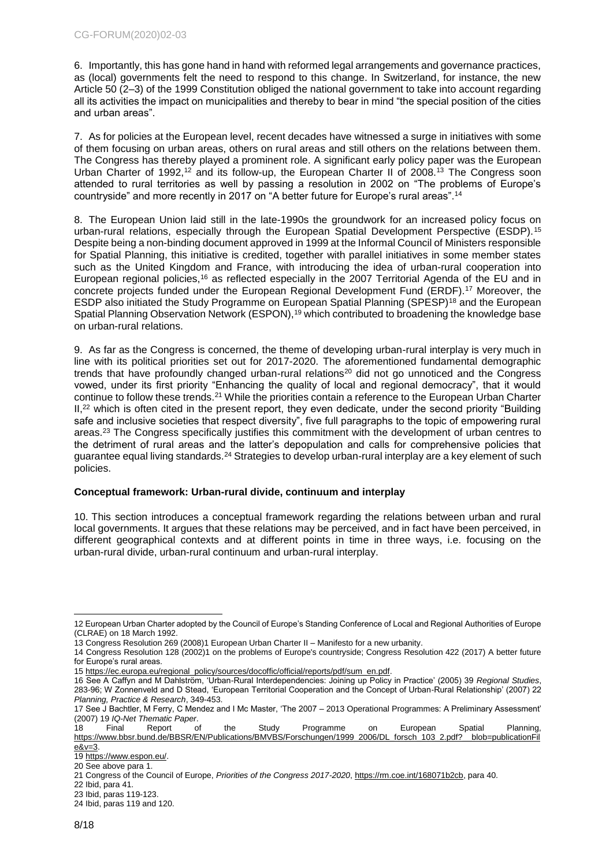6. Importantly, this has gone hand in hand with reformed legal arrangements and governance practices, as (local) governments felt the need to respond to this change. In Switzerland, for instance, the new Article 50 (2–3) of the 1999 Constitution obliged the national government to take into account regarding all its activities the impact on municipalities and thereby to bear in mind "the special position of the cities and urban areas".

7. As for policies at the European level, recent decades have witnessed a surge in initiatives with some of them focusing on urban areas, others on rural areas and still others on the relations between them. The Congress has thereby played a prominent role. A significant early policy paper was the European Urban Charter of 1992,<sup>12</sup> and its follow-up, the European Charter II of 2008.<sup>13</sup> The Congress soon attended to rural territories as well by passing a resolution in 2002 on "The problems of Europe's countryside" and more recently in 2017 on "A better future for Europe's rural areas".<sup>14</sup>

8. The European Union laid still in the late-1990s the groundwork for an increased policy focus on urban-rural relations, especially through the European Spatial Development Perspective (ESDP).<sup>15</sup> Despite being a non-binding document approved in 1999 at the Informal Council of Ministers responsible for Spatial Planning, this initiative is credited, together with parallel initiatives in some member states such as the United Kingdom and France, with introducing the idea of urban-rural cooperation into European regional policies,<sup>16</sup> as reflected especially in the 2007 Territorial Agenda of the EU and in concrete projects funded under the European Regional Development Fund (ERDF).<sup>17</sup> Moreover, the ESDP also initiated the Study Programme on European Spatial Planning (SPESP)<sup>18</sup> and the European Spatial Planning Observation Network (ESPON),<sup>19</sup> which contributed to broadening the knowledge base on urban-rural relations.

9. As far as the Congress is concerned, the theme of developing urban-rural interplay is very much in line with its political priorities set out for 2017-2020. The aforementioned fundamental demographic trends that have profoundly changed urban-rural relations<sup>20</sup> did not go unnoticed and the Congress vowed, under its first priority "Enhancing the quality of local and regional democracy", that it would continue to follow these trends.<sup>21</sup> While the priorities contain a reference to the European Urban Charter II,<sup>22</sup> which is often cited in the present report, they even dedicate, under the second priority "Building safe and inclusive societies that respect diversity", five full paragraphs to the topic of empowering rural areas.<sup>23</sup> The Congress specifically justifies this commitment with the development of urban centres to the detriment of rural areas and the latter's depopulation and calls for comprehensive policies that guarantee equal living standards.<sup>24</sup> Strategies to develop urban-rural interplay are a key element of such policies.

# <span id="page-7-0"></span>**Conceptual framework: Urban-rural divide, continuum and interplay**

10. This section introduces a conceptual framework regarding the relations between urban and rural local governments. It argues that these relations may be perceived, and in fact have been perceived, in different geographical contexts and at different points in time in three ways, i.e. focusing on the urban-rural divide, urban-rural continuum and urban-rural interplay.

<sup>-</sup>12 European Urban Charter adopted by the Council of Europe's Standing Conference of Local and Regional Authorities of Europe (CLRAE) on 18 March 1992.

<sup>13</sup> Congress Resolution 269 (2008)1 European Urban Charter II – Manifesto for a new urbanity.

<sup>14</sup> Congress Resolution 128 (2002)1 on the problems of Europe's countryside; Congress Resolution 422 (2017) A better future for Europe's rural areas.

<sup>15</sup> [https://ec.europa.eu/regional\\_policy/sources/docoffic/official/reports/pdf/sum\\_en.pdf.](https://ec.europa.eu/regional_policy/sources/docoffic/official/reports/pdf/sum_en.pdf)

<sup>16</sup> See A Caffyn and M Dahlström, 'Urban-Rural Interdependencies: Joining up Policy in Practice' (2005) 39 *Regional Studies*, 283-96; W Zonnenveld and D Stead, 'European Territorial Cooperation and the Concept of Urban-Rural Relationship' (2007) 22 *Planning, Practice & Research*, 349-453.

<sup>17</sup> See J Bachtler, M Ferry, C Mendez and I Mc Master, 'The 2007 – 2013 Operational Programmes: A Preliminary Assessment' (2007) 19 *IQ-Net Thematic Paper*.

<sup>18</sup> Final Report of the Study Programme on European Spatial Planning, [https://www.bbsr.bund.de/BBSR/EN/Publications/BMVBS/Forschungen/1999\\_2006/DL\\_forsch\\_103\\_2.pdf?\\_\\_blob=publicationFil](https://www.bbsr.bund.de/BBSR/EN/Publications/BMVBS/Forschungen/1999_2006/DL_forsch_103_2.pdf?__blob=publicationFile&v=3)  $e&v=3$ .

<sup>19</sup> [https://www.espon.eu/.](https://www.espon.eu/) 20 See above para 1.

<sup>21</sup> Congress of the Council of Europe, *Priorities of the Congress 2017-2020*[, https://rm.coe.int/168071b2cb,](https://rm.coe.int/168071b2cb) para 40.

<sup>22</sup> Ibid, para 41.

<sup>23</sup> Ibid, paras 119-123.

<sup>24</sup> Ibid, paras 119 and 120.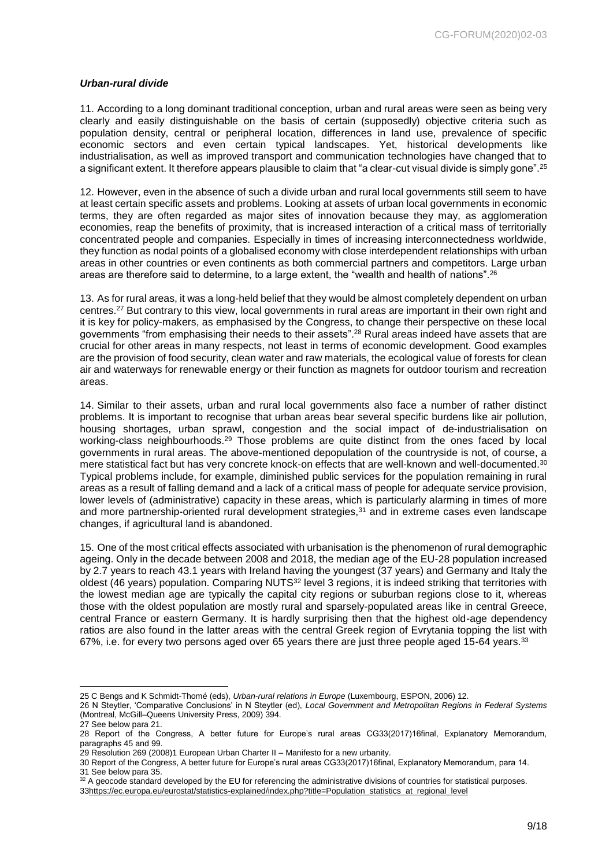#### <span id="page-8-0"></span>*Urban-rural divide*

11. According to a long dominant traditional conception, urban and rural areas were seen as being very clearly and easily distinguishable on the basis of certain (supposedly) objective criteria such as population density, central or peripheral location, differences in land use, prevalence of specific economic sectors and even certain typical landscapes. Yet, historical developments like industrialisation, as well as improved transport and communication technologies have changed that to a significant extent. It therefore appears plausible to claim that "a clear-cut visual divide is simply gone".<sup>25</sup>

12. However, even in the absence of such a divide urban and rural local governments still seem to have at least certain specific assets and problems. Looking at assets of urban local governments in economic terms, they are often regarded as major sites of innovation because they may, as agglomeration economies, reap the benefits of proximity, that is increased interaction of a critical mass of territorially concentrated people and companies. Especially in times of increasing interconnectedness worldwide, they function as nodal points of a globalised economy with close interdependent relationships with urban areas in other countries or even continents as both commercial partners and competitors. Large urban areas are therefore said to determine, to a large extent, the "wealth and health of nations".<sup>26</sup>

13. As for rural areas, it was a long-held belief that they would be almost completely dependent on urban centres.<sup>27</sup> But contrary to this view, local governments in rural areas are important in their own right and it is key for policy-makers, as emphasised by the Congress, to change their perspective on these local governments "from emphasising their needs to their assets".<sup>28</sup> Rural areas indeed have assets that are crucial for other areas in many respects, not least in terms of economic development. Good examples are the provision of food security, clean water and raw materials, the ecological value of forests for clean air and waterways for renewable energy or their function as magnets for outdoor tourism and recreation areas.

14. Similar to their assets, urban and rural local governments also face a number of rather distinct problems. It is important to recognise that urban areas bear several specific burdens like air pollution, housing shortages, urban sprawl, congestion and the social impact of de-industrialisation on working-class neighbourhoods.<sup>29</sup> Those problems are quite distinct from the ones faced by local governments in rural areas. The above-mentioned depopulation of the countryside is not, of course, a mere statistical fact but has very concrete knock-on effects that are well-known and well-documented.<sup>30</sup> Typical problems include, for example, diminished public services for the population remaining in rural areas as a result of falling demand and a lack of a critical mass of people for adequate service provision, lower levels of (administrative) capacity in these areas, which is particularly alarming in times of more and more partnership-oriented rural development strategies,<sup>31</sup> and in extreme cases even landscape changes, if agricultural land is abandoned.

15. One of the most critical effects associated with urbanisation is the phenomenon of rural demographic ageing. Only in the decade between 2008 and 2018, the median age of the EU-28 population increased by 2.7 years to reach 43.1 years with Ireland having the youngest (37 years) and Germany and Italy the oldest (46 years) population. Comparing NUTS<sup>32</sup> level 3 regions, it is indeed striking that territories with the lowest median age are typically the capital city regions or suburban regions close to it, whereas those with the oldest population are mostly rural and sparsely-populated areas like in central Greece, central France or eastern Germany. It is hardly surprising then that the highest old-age dependency ratios are also found in the latter areas with the central Greek region of Evrytania topping the list with 67%, i.e. for every two persons aged over 65 years there are just three people aged 15-64 years.<sup>33</sup>

<sup>-</sup>25 C Bengs and K Schmidt-Thomé (eds), *Urban-rural relations in Europe* (Luxembourg, ESPON, 2006) 12.

<sup>26</sup> N Steytler, 'Comparative Conclusions' in N Steytler (ed), *Local Government and Metropolitan Regions in Federal Systems*  (Montreal, McGill–Queens University Press, 2009) 394.

<sup>27</sup> See below para 21.

<sup>28</sup> Report of the Congress, A better future for Europe's rural areas CG33(2017)16final, Explanatory Memorandum, paragraphs 45 and 99.

<sup>29</sup> Resolution 269 (2008)1 European Urban Charter II – Manifesto for a new urbanity.

<sup>30</sup> Report of the Congress, A better future for Europe's rural areas CG33(2017)16final, Explanatory Memorandum, para 14. 31 See below para 35.

 $32$  A geocode standard developed by the EU for referencing the administrative divisions of countries for statistical purposes. 3[3https://ec.europa.eu/eurostat/statistics-explained/index.php?title=Population\\_statistics\\_at\\_regional\\_level](https://ec.europa.eu/eurostat/statistics-explained/index.php?title=Population_statistics_at_regional_level)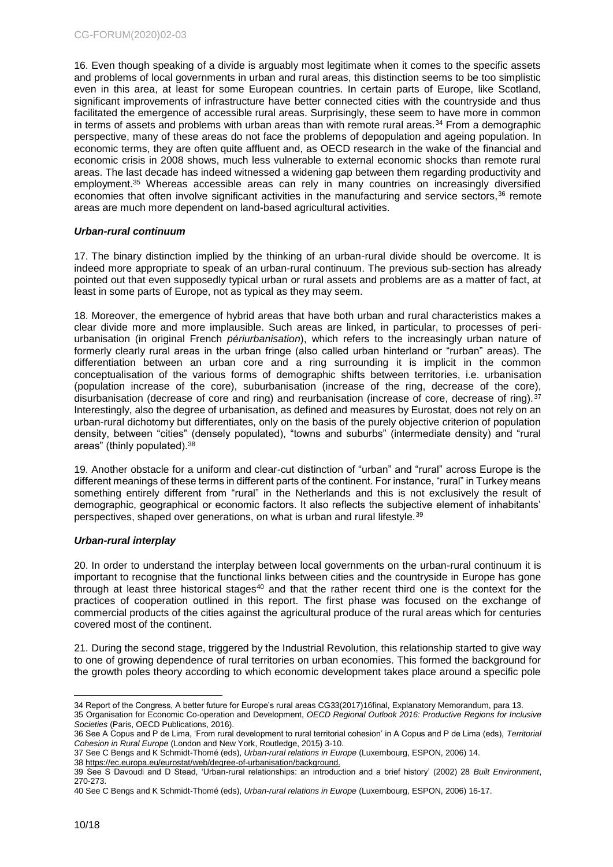16. Even though speaking of a divide is arguably most legitimate when it comes to the specific assets and problems of local governments in urban and rural areas, this distinction seems to be too simplistic even in this area, at least for some European countries. In certain parts of Europe, like Scotland, significant improvements of infrastructure have better connected cities with the countryside and thus facilitated the emergence of accessible rural areas. Surprisingly, these seem to have more in common in terms of assets and problems with urban areas than with remote rural areas. $34$  From a demographic perspective, many of these areas do not face the problems of depopulation and ageing population. In economic terms, they are often quite affluent and, as OECD research in the wake of the financial and economic crisis in 2008 shows, much less vulnerable to external economic shocks than remote rural areas. The last decade has indeed witnessed a widening gap between them regarding productivity and employment.<sup>35</sup> Whereas accessible areas can rely in many countries on increasingly diversified economies that often involve significant activities in the manufacturing and service sectors,<sup>36</sup> remote areas are much more dependent on land-based agricultural activities.

#### <span id="page-9-0"></span>*Urban-rural continuum*

17. The binary distinction implied by the thinking of an urban-rural divide should be overcome. It is indeed more appropriate to speak of an urban-rural continuum. The previous sub-section has already pointed out that even supposedly typical urban or rural assets and problems are as a matter of fact, at least in some parts of Europe, not as typical as they may seem.

18. Moreover, the emergence of hybrid areas that have both urban and rural characteristics makes a clear divide more and more implausible. Such areas are linked, in particular, to processes of periurbanisation (in original French *périurbanisation*), which refers to the increasingly urban nature of formerly clearly rural areas in the urban fringe (also called urban hinterland or "rurban" areas). The differentiation between an urban core and a ring surrounding it is implicit in the common conceptualisation of the various forms of demographic shifts between territories, i.e. urbanisation (population increase of the core), suburbanisation (increase of the ring, decrease of the core), disurbanisation (decrease of core and ring) and reurbanisation (increase of core, decrease of ring).<sup>37</sup> Interestingly, also the degree of urbanisation, as defined and measures by Eurostat, does not rely on an urban-rural dichotomy but differentiates, only on the basis of the purely objective criterion of population density, between "cities" (densely populated), "towns and suburbs" (intermediate density) and "rural areas" (thinly populated).<sup>38</sup>

19. Another obstacle for a uniform and clear-cut distinction of "urban" and "rural" across Europe is the different meanings of these terms in different parts of the continent. For instance, "rural" in Turkey means something entirely different from "rural" in the Netherlands and this is not exclusively the result of demographic, geographical or economic factors. It also reflects the subjective element of inhabitants' perspectives, shaped over generations, on what is urban and rural lifestyle.<sup>39</sup>

#### <span id="page-9-1"></span>*Urban-rural interplay*

20. In order to understand the interplay between local governments on the urban-rural continuum it is important to recognise that the functional links between cities and the countryside in Europe has gone through at least three historical stages<sup>40</sup> and that the rather recent third one is the context for the practices of cooperation outlined in this report. The first phase was focused on the exchange of commercial products of the cities against the agricultural produce of the rural areas which for centuries covered most of the continent.

21. During the second stage, triggered by the Industrial Revolution, this relationship started to give way to one of growing dependence of rural territories on urban economies. This formed the background for the growth poles theory according to which economic development takes place around a specific pole

<sup>34</sup> Report of the Congress, A better future for Europe's rural areas CG33(2017)16final, Explanatory Memorandum, para 13. 35 Organisation for Economic Co-operation and Development, *OECD Regional Outlook 2016: Productive Regions for Inclusive Societies* (Paris, OECD Publications, 2016).

<sup>36</sup> See A Copus and P de Lima, 'From rural development to rural territorial cohesion' in A Copus and P de Lima (eds), *Territorial Cohesion in Rural Europe* (London and New York, Routledge, 2015) 3-10.

<sup>37</sup> See C Bengs and K Schmidt-Thomé (eds), *Urban-rural relations in Europe* (Luxembourg, ESPON, 2006) 14.

<sup>38</sup> [https://ec.europa.eu/eurostat/web/degree-of-urbanisation/background.](https://ec.europa.eu/eurostat/web/degree-of-urbanisation/background)

<sup>39</sup> See S Davoudi and D Stead, 'Urban-rural relationships: an introduction and a brief history' (2002) 28 *Built Environment*, 270-273.

<sup>40</sup> See C Bengs and K Schmidt-Thomé (eds), *Urban-rural relations in Europe* (Luxembourg, ESPON, 2006) 16-17.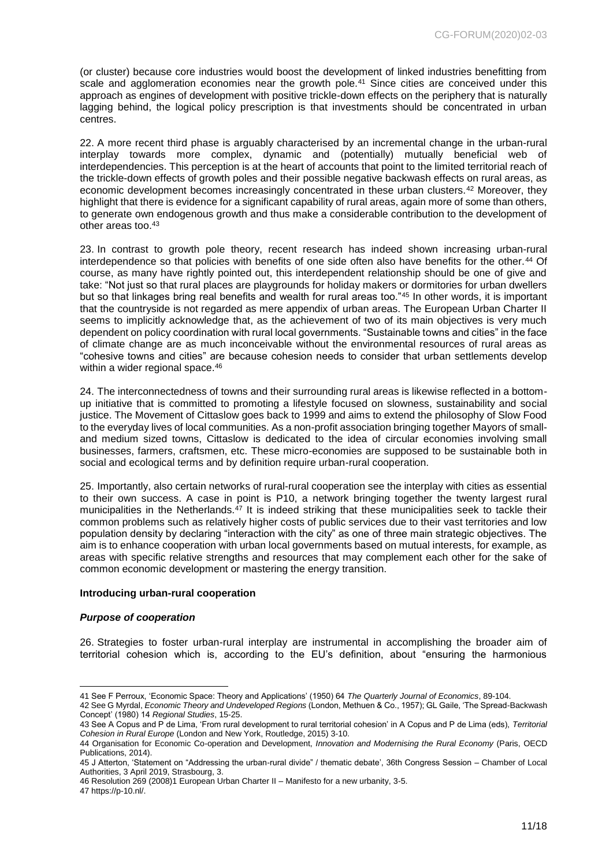(or cluster) because core industries would boost the development of linked industries benefitting from scale and agglomeration economies near the growth pole.<sup>41</sup> Since cities are conceived under this approach as engines of development with positive trickle-down effects on the periphery that is naturally lagging behind, the logical policy prescription is that investments should be concentrated in urban centres.

22. A more recent third phase is arguably characterised by an incremental change in the urban-rural interplay towards more complex, dynamic and (potentially) mutually beneficial web of interdependencies. This perception is at the heart of accounts that point to the limited territorial reach of the trickle-down effects of growth poles and their possible negative backwash effects on rural areas, as economic development becomes increasingly concentrated in these urban clusters.<sup>42</sup> Moreover, they highlight that there is evidence for a significant capability of rural areas, again more of some than others, to generate own endogenous growth and thus make a considerable contribution to the development of other areas too.<sup>43</sup>

23. In contrast to growth pole theory, recent research has indeed shown increasing urban-rural interdependence so that policies with benefits of one side often also have benefits for the other.<sup>44</sup> Of course, as many have rightly pointed out, this interdependent relationship should be one of give and take: "Not just so that rural places are playgrounds for holiday makers or dormitories for urban dwellers but so that linkages bring real benefits and wealth for rural areas too."<sup>45</sup> In other words, it is important that the countryside is not regarded as mere appendix of urban areas. The European Urban Charter II seems to implicitly acknowledge that, as the achievement of two of its main objectives is very much dependent on policy coordination with rural local governments. "Sustainable towns and cities" in the face of climate change are as much inconceivable without the environmental resources of rural areas as "cohesive towns and cities" are because cohesion needs to consider that urban settlements develop within a wider regional space.<sup>46</sup>

24. The interconnectedness of towns and their surrounding rural areas is likewise reflected in a bottomup initiative that is committed to promoting a lifestyle focused on slowness, sustainability and social justice. The Movement of Cittaslow goes back to 1999 and aims to extend the philosophy of Slow Food to the everyday lives of local communities. As a non-profit association bringing together Mayors of smalland medium sized towns, Cittaslow is dedicated to the idea of circular economies involving small businesses, farmers, craftsmen, etc. These micro-economies are supposed to be sustainable both in social and ecological terms and by definition require urban-rural cooperation.

25. Importantly, also certain networks of rural-rural cooperation see the interplay with cities as essential to their own success. A case in point is P10, a network bringing together the twenty largest rural municipalities in the Netherlands.<sup>47</sup> It is indeed striking that these municipalities seek to tackle their common problems such as relatively higher costs of public services due to their vast territories and low population density by declaring "interaction with the city" as one of three main strategic objectives. The aim is to enhance cooperation with urban local governments based on mutual interests, for example, as areas with specific relative strengths and resources that may complement each other for the sake of common economic development or mastering the energy transition.

#### <span id="page-10-0"></span>**Introducing urban-rural cooperation**

#### <span id="page-10-1"></span>*Purpose of cooperation*

26. Strategies to foster urban-rural interplay are instrumental in accomplishing the broader aim of territorial cohesion which is, according to the EU's definition, about "ensuring the harmonious

47 https://p-10.nl/.

<sup>-</sup>41 See F Perroux, 'Economic Space: Theory and Applications' (1950) 64 *The Quarterly Journal of Economics*, 89-104.

<sup>42</sup> See G Myrdal, *Economic Theory and Undeveloped Regions* (London, Methuen & Co., 1957); GL Gaile, 'The Spread-Backwash Concept' (1980) 14 *Regional Studies*, 15-25.

<sup>43</sup> See A Copus and P de Lima, 'From rural development to rural territorial cohesion' in A Copus and P de Lima (eds), *Territorial Cohesion in Rural Europe* (London and New York, Routledge, 2015) 3-10.

<sup>44</sup> Organisation for Economic Co-operation and Development, *Innovation and Modernising the Rural Economy* (Paris, OECD Publications, 2014).

<sup>45</sup> J Atterton, 'Statement on "Addressing the urban-rural divide" / thematic debate', 36th Congress Session – Chamber of Local Authorities, 3 April 2019, Strasbourg, 3.

<sup>46</sup> Resolution 269 (2008)1 European Urban Charter II – Manifesto for a new urbanity, 3-5.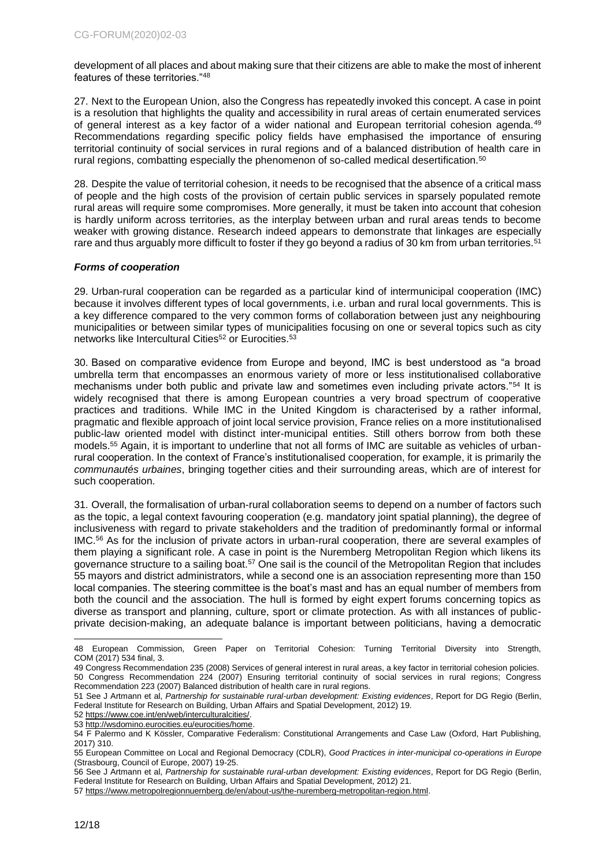development of all places and about making sure that their citizens are able to make the most of inherent features of these territories."<sup>48</sup>

27. Next to the European Union, also the Congress has repeatedly invoked this concept. A case in point is a resolution that highlights the quality and accessibility in rural areas of certain enumerated services of general interest as a key factor of a wider national and European territorial cohesion agenda.<sup>49</sup> Recommendations regarding specific policy fields have emphasised the importance of ensuring territorial continuity of social services in rural regions and of a balanced distribution of health care in rural regions, combatting especially the phenomenon of so-called medical desertification.<sup>50</sup>

28. Despite the value of territorial cohesion, it needs to be recognised that the absence of a critical mass of people and the high costs of the provision of certain public services in sparsely populated remote rural areas will require some compromises. More generally, it must be taken into account that cohesion is hardly uniform across territories, as the interplay between urban and rural areas tends to become weaker with growing distance. Research indeed appears to demonstrate that linkages are especially rare and thus arguably more difficult to foster if they go beyond a radius of 30 km from urban territories.<sup>51</sup>

#### <span id="page-11-0"></span>*Forms of cooperation*

29. Urban-rural cooperation can be regarded as a particular kind of intermunicipal cooperation (IMC) because it involves different types of local governments, i.e. urban and rural local governments. This is a key difference compared to the very common forms of collaboration between just any neighbouring municipalities or between similar types of municipalities focusing on one or several topics such as city networks like Intercultural Cities<sup>52</sup> or Eurocities.<sup>53</sup>

30. Based on comparative evidence from Europe and beyond, IMC is best understood as "a broad umbrella term that encompasses an enormous variety of more or less institutionalised collaborative mechanisms under both public and private law and sometimes even including private actors."<sup>54</sup> It is widely recognised that there is among European countries a very broad spectrum of cooperative practices and traditions. While IMC in the United Kingdom is characterised by a rather informal, pragmatic and flexible approach of joint local service provision, France relies on a more institutionalised public-law oriented model with distinct inter-municipal entities. Still others borrow from both these models.<sup>55</sup> Again, it is important to underline that not all forms of IMC are suitable as vehicles of urbanrural cooperation. In the context of France's institutionalised cooperation, for example, it is primarily the *communautés urbaines*, bringing together cities and their surrounding areas, which are of interest for such cooperation.

31. Overall, the formalisation of urban-rural collaboration seems to depend on a number of factors such as the topic, a legal context favouring cooperation (e.g. mandatory joint spatial planning), the degree of inclusiveness with regard to private stakeholders and the tradition of predominantly formal or informal IMC.<sup>56</sup> As for the inclusion of private actors in urban-rural cooperation, there are several examples of them playing a significant role. A case in point is the Nuremberg Metropolitan Region which likens its governance structure to a sailing boat.<sup>57</sup> One sail is the council of the Metropolitan Region that includes 55 mayors and district administrators, while a second one is an association representing more than 150 local companies. The steering committee is the boat's mast and has an equal number of members from both the council and the association. The hull is formed by eight expert forums concerning topics as diverse as transport and planning, culture, sport or climate protection. As with all instances of publicprivate decision-making, an adequate balance is important between politicians, having a democratic

<sup>48</sup> European Commission, Green Paper on Territorial Cohesion: Turning Territorial Diversity into Strength, COM (2017) 534 final, 3.

<sup>49</sup> Congress Recommendation 235 (2008) Services of general interest in rural areas, a key factor in territorial cohesion policies. 50 Congress Recommendation 224 (2007) Ensuring territorial continuity of social services in rural regions; Congress Recommendation 223 (2007) Balanced distribution of health care in rural regions*.*

<sup>51</sup> See J Artmann et al, *Partnership for sustainable rural-urban development: Existing evidences*, Report for DG Regio (Berlin, Federal Institute for Research on Building, Urban Affairs and Spatial Development, 2012) 19.

<sup>52</sup> [https://www.coe.int/en/web/interculturalcities/.](https://www.coe.int/en/web/interculturalcities/)

<sup>53</sup> [http://wsdomino.eurocities.eu/eurocities/home.](http://wsdomino.eurocities.eu/eurocities/home)

<sup>54</sup> F Palermo and K Kössler, Comparative Federalism: Constitutional Arrangements and Case Law (Oxford, Hart Publishing, 2017) 310.

<sup>55</sup> European Committee on Local and Regional Democracy (CDLR), *Good Practices in inter-municipal co-operations in Europe* (Strasbourg, Council of Europe, 2007) 19-25.

<sup>56</sup> See J Artmann et al, *Partnership for sustainable rural-urban development: Existing evidences*, Report for DG Regio (Berlin, Federal Institute for Research on Building, Urban Affairs and Spatial Development, 2012) 21.

<sup>57</sup> [https://www.metropolregionnuernberg.de/en/about-us/the-nuremberg-metropolitan-region.html.](https://www.metropolregionnuernberg.de/en/about-us/the-nuremberg-metropolitan-region.html)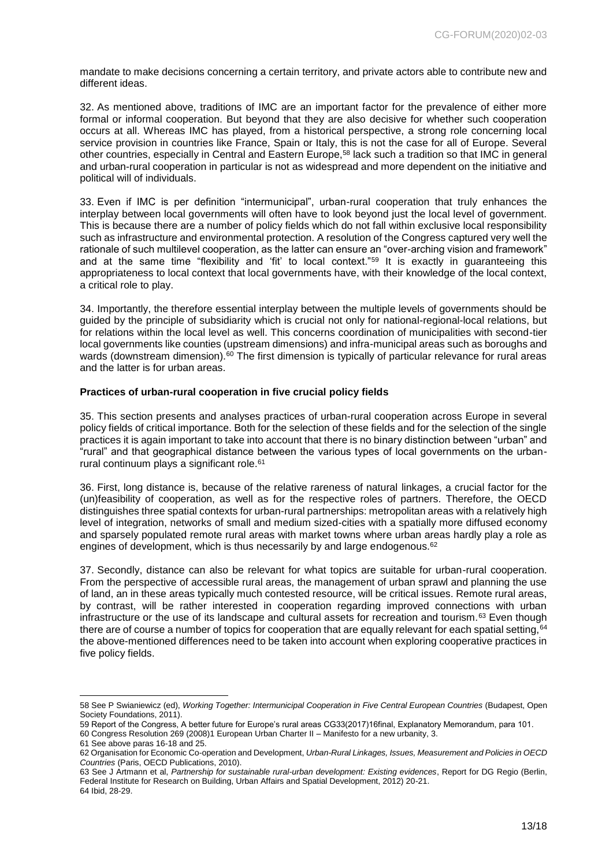mandate to make decisions concerning a certain territory, and private actors able to contribute new and different ideas.

32. As mentioned above, traditions of IMC are an important factor for the prevalence of either more formal or informal cooperation. But beyond that they are also decisive for whether such cooperation occurs at all. Whereas IMC has played, from a historical perspective, a strong role concerning local service provision in countries like France, Spain or Italy, this is not the case for all of Europe. Several other countries, especially in Central and Eastern Europe,<sup>58</sup> lack such a tradition so that IMC in general and urban-rural cooperation in particular is not as widespread and more dependent on the initiative and political will of individuals.

33. Even if IMC is per definition "intermunicipal", urban-rural cooperation that truly enhances the interplay between local governments will often have to look beyond just the local level of government. This is because there are a number of policy fields which do not fall within exclusive local responsibility such as infrastructure and environmental protection. A resolution of the Congress captured very well the rationale of such multilevel cooperation, as the latter can ensure an "over-arching vision and framework" and at the same time "flexibility and 'fit' to local context."<sup>59</sup> It is exactly in guaranteeing this appropriateness to local context that local governments have, with their knowledge of the local context, a critical role to play.

34. Importantly, the therefore essential interplay between the multiple levels of governments should be guided by the principle of subsidiarity which is crucial not only for national-regional-local relations, but for relations within the local level as well. This concerns coordination of municipalities with second-tier local governments like counties (upstream dimensions) and infra-municipal areas such as boroughs and wards (downstream dimension).<sup>60</sup> The first dimension is typically of particular relevance for rural areas and the latter is for urban areas.

### <span id="page-12-0"></span>**Practices of urban-rural cooperation in five crucial policy fields**

35. This section presents and analyses practices of urban-rural cooperation across Europe in several policy fields of critical importance. Both for the selection of these fields and for the selection of the single practices it is again important to take into account that there is no binary distinction between "urban" and "rural" and that geographical distance between the various types of local governments on the urbanrural continuum plays a significant role.<sup>61</sup>

36. First, long distance is, because of the relative rareness of natural linkages, a crucial factor for the (un)feasibility of cooperation, as well as for the respective roles of partners. Therefore, the OECD distinguishes three spatial contexts for urban-rural partnerships: metropolitan areas with a relatively high level of integration, networks of small and medium sized-cities with a spatially more diffused economy and sparsely populated remote rural areas with market towns where urban areas hardly play a role as engines of development, which is thus necessarily by and large endogenous.<sup>62</sup>

37. Secondly, distance can also be relevant for what topics are suitable for urban-rural cooperation. From the perspective of accessible rural areas, the management of urban sprawl and planning the use of land, an in these areas typically much contested resource, will be critical issues. Remote rural areas, by contrast, will be rather interested in cooperation regarding improved connections with urban infrastructure or the use of its landscape and cultural assets for recreation and tourism.<sup>63</sup> Even though there are of course a number of topics for cooperation that are equally relevant for each spatial setting, 64 the above-mentioned differences need to be taken into account when exploring cooperative practices in five policy fields.

<sup>58</sup> See P Swianiewicz (ed), *Working Together: Intermunicipal Cooperation in Five Central European Countries* (Budapest, Open Society Foundations, 2011).

<sup>59</sup> Report of the Congress, A better future for Europe's rural areas CG33(2017)16final, Explanatory Memorandum, para 101. 60 Congress Resolution 269 (2008)1 European Urban Charter II – Manifesto for a new urbanity, 3.

<sup>61</sup> See above paras 16-18 and 25.

<sup>62</sup> Organisation for Economic Co-operation and Development, *Urban-Rural Linkages, Issues, Measurement and Policies in OECD Countries* (Paris, OECD Publications, 2010).

<sup>63</sup> See J Artmann et al, *Partnership for sustainable rural-urban development: Existing evidences*, Report for DG Regio (Berlin, Federal Institute for Research on Building, Urban Affairs and Spatial Development, 2012) 20-21. 64 Ibid, 28-29.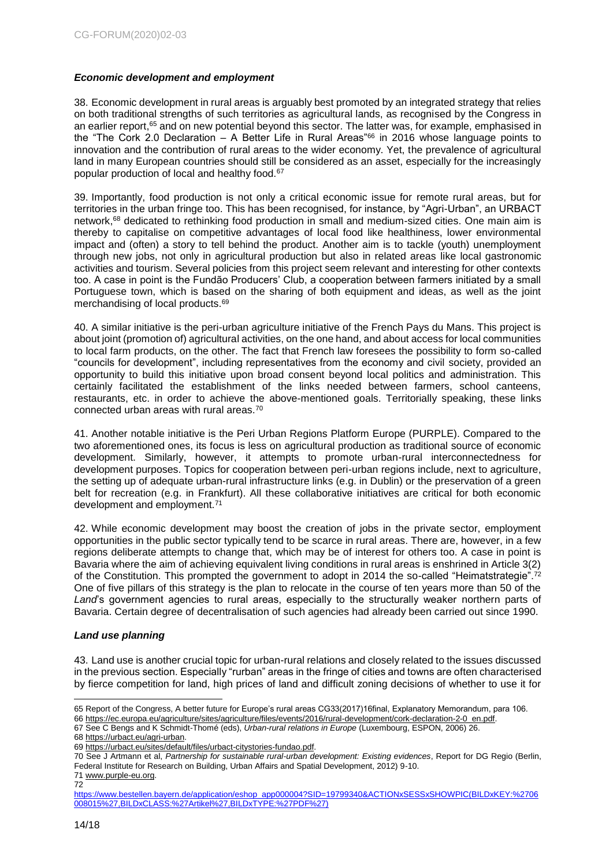#### <span id="page-13-0"></span>*Economic development and employment*

38. Economic development in rural areas is arguably best promoted by an integrated strategy that relies on both traditional strengths of such territories as agricultural lands, as recognised by the Congress in an earlier report,<sup>65</sup> and on new potential beyond this sector. The latter was, for example, emphasised in the "The Cork 2.0 Declaration – A Better Life in Rural Areas"<sup>66</sup> in 2016 whose language points to innovation and the contribution of rural areas to the wider economy. Yet, the prevalence of agricultural land in many European countries should still be considered as an asset, especially for the increasingly popular production of local and healthy food.<sup>67</sup>

39. Importantly, food production is not only a critical economic issue for remote rural areas, but for territories in the urban fringe too. This has been recognised, for instance, by "Agri-Urban", an URBACT network,<sup>68</sup> dedicated to rethinking food production in small and medium-sized cities. One main aim is thereby to capitalise on competitive advantages of local food like healthiness, lower environmental impact and (often) a story to tell behind the product. Another aim is to tackle (youth) unemployment through new jobs, not only in agricultural production but also in related areas like local gastronomic activities and tourism. Several policies from this project seem relevant and interesting for other contexts too. A case in point is the Fundão Producers' Club, a cooperation between farmers initiated by a small Portuguese town, which is based on the sharing of both equipment and ideas, as well as the joint merchandising of local products.<sup>69</sup>

40. A similar initiative is the peri-urban agriculture initiative of the French Pays du Mans. This project is about joint (promotion of) agricultural activities, on the one hand, and about access for local communities to local farm products, on the other. The fact that French law foresees the possibility to form so-called "councils for development", including representatives from the economy and civil society, provided an opportunity to build this initiative upon broad consent beyond local politics and administration. This certainly facilitated the establishment of the links needed between farmers, school canteens, restaurants, etc. in order to achieve the above-mentioned goals. Territorially speaking, these links connected urban areas with rural areas.<sup>70</sup>

41. Another notable initiative is the Peri Urban Regions Platform Europe (PURPLE). Compared to the two aforementioned ones, its focus is less on agricultural production as traditional source of economic development. Similarly, however, it attempts to promote urban-rural interconnectedness for development purposes. Topics for cooperation between peri-urban regions include, next to agriculture, the setting up of adequate urban-rural infrastructure links (e.g. in Dublin) or the preservation of a green belt for recreation (e.g. in Frankfurt). All these collaborative initiatives are critical for both economic development and employment.<sup>71</sup>

42. While economic development may boost the creation of jobs in the private sector, employment opportunities in the public sector typically tend to be scarce in rural areas. There are, however, in a few regions deliberate attempts to change that, which may be of interest for others too. A case in point is Bavaria where the aim of achieving equivalent living conditions in rural areas is enshrined in Article 3(2) of the Constitution. This prompted the government to adopt in 2014 the so-called "Heimatstrategie".<sup>72</sup> One of five pillars of this strategy is the plan to relocate in the course of ten years more than 50 of the *Land*'s government agencies to rural areas, especially to the structurally weaker northern parts of Bavaria. Certain degree of decentralisation of such agencies had already been carried out since 1990.

#### <span id="page-13-1"></span>*Land use planning*

43. Land use is another crucial topic for urban-rural relations and closely related to the issues discussed in the previous section. Especially "rurban" areas in the fringe of cities and towns are often characterised by fierce competition for land, high prices of land and difficult zoning decisions of whether to use it for

68 [https://urbact.eu/agri-urban.](https://urbact.eu/agri-urban)

70 See J Artmann et al, *Partnership for sustainable rural-urban development: Existing evidences*, Report for DG Regio (Berlin, Federal Institute for Research on Building, Urban Affairs and Spatial Development, 2012) 9-10.

71 [www.purple-eu.org.](http://www.purple-eu.org/)

<sup>-</sup>65 Report of the Congress, A better future for Europe's rural areas CG33(2017)16final, Explanatory Memorandum, para 106.

<sup>66</sup> [https://ec.europa.eu/agriculture/sites/agriculture/files/events/2016/rural-development/cork-declaration-2-0\\_en.pdf.](https://ec.europa.eu/agriculture/sites/agriculture/files/events/2016/rural-development/cork-declaration-2-0_en.pdf) 67 See C Bengs and K Schmidt-Thomé (eds), *Urban-rural relations in Europe* (Luxembourg, ESPON, 2006) 26.

<sup>69</sup> [https://urbact.eu/sites/default/files/urbact-citystories-fundao.pdf.](https://urbact.eu/sites/default/files/urbact-citystories-fundao.pdf)

<sup>72</sup>

[https://www.bestellen.bayern.de/application/eshop\\_app000004?SID=19799340&ACTIONxSESSxSHOWPIC\(BILDxKEY:%2706](https://www.bestellen.bayern.de/application/eshop_app000004?SID=19799340&ACTIONxSESSxSHOWPIC(BILDxKEY:%2706008015%27,BILDxCLASS:%27Artikel%27,BILDxTYPE:%27PDF%27)) [008015%27,BILDxCLASS:%27Artikel%27,BILDxTYPE:%27PDF%27\)](https://www.bestellen.bayern.de/application/eshop_app000004?SID=19799340&ACTIONxSESSxSHOWPIC(BILDxKEY:%2706008015%27,BILDxCLASS:%27Artikel%27,BILDxTYPE:%27PDF%27))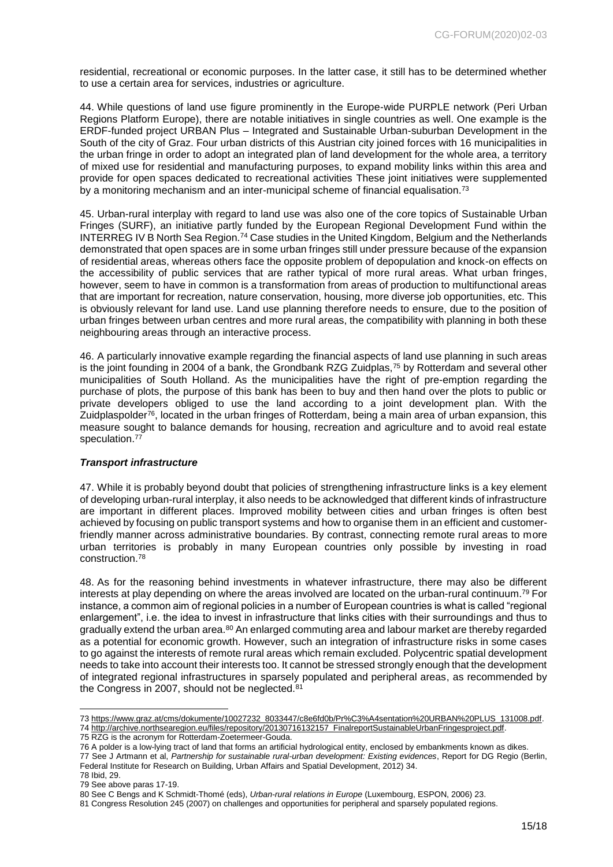residential, recreational or economic purposes. In the latter case, it still has to be determined whether to use a certain area for services, industries or agriculture.

44. While questions of land use figure prominently in the Europe-wide PURPLE network (Peri Urban Regions Platform Europe), there are notable initiatives in single countries as well. One example is the ERDF-funded project URBAN Plus – Integrated and Sustainable Urban-suburban Development in the South of the city of Graz. Four urban districts of this Austrian city joined forces with 16 municipalities in the urban fringe in order to adopt an integrated plan of land development for the whole area, a territory of mixed use for residential and manufacturing purposes, to expand mobility links within this area and provide for open spaces dedicated to recreational activities These joint initiatives were supplemented by a monitoring mechanism and an inter-municipal scheme of financial equalisation.<sup>73</sup>

45. Urban-rural interplay with regard to land use was also one of the core topics of Sustainable Urban Fringes (SURF), an initiative partly funded by the European Regional Development Fund within the INTERREG IV B North Sea Region.<sup>74</sup> Case studies in the United Kingdom, Belgium and the Netherlands demonstrated that open spaces are in some urban fringes still under pressure because of the expansion of residential areas, whereas others face the opposite problem of depopulation and knock-on effects on the accessibility of public services that are rather typical of more rural areas. What urban fringes, however, seem to have in common is a transformation from areas of production to multifunctional areas that are important for recreation, nature conservation, housing, more diverse job opportunities, etc. This is obviously relevant for land use. Land use planning therefore needs to ensure, due to the position of urban fringes between urban centres and more rural areas, the compatibility with planning in both these neighbouring areas through an interactive process.

46. A particularly innovative example regarding the financial aspects of land use planning in such areas is the joint founding in 2004 of a bank, the Grondbank RZG Zuidplas,<sup>75</sup> by Rotterdam and several other municipalities of South Holland. As the municipalities have the right of pre-emption regarding the purchase of plots, the purpose of this bank has been to buy and then hand over the plots to public or private developers obliged to use the land according to a joint development plan. With the Zuidplaspolder<sup>76</sup>, located in the urban fringes of Rotterdam, being a main area of urban expansion, this measure sought to balance demands for housing, recreation and agriculture and to avoid real estate speculation.<sup>77</sup>

#### <span id="page-14-0"></span>*Transport infrastructure*

47. While it is probably beyond doubt that policies of strengthening infrastructure links is a key element of developing urban-rural interplay, it also needs to be acknowledged that different kinds of infrastructure are important in different places. Improved mobility between cities and urban fringes is often best achieved by focusing on public transport systems and how to organise them in an efficient and customerfriendly manner across administrative boundaries. By contrast, connecting remote rural areas to more urban territories is probably in many European countries only possible by investing in road construction.<sup>78</sup>

48. As for the reasoning behind investments in whatever infrastructure, there may also be different interests at play depending on where the areas involved are located on the urban-rural continuum.<sup>79</sup> For instance, a common aim of regional policies in a number of European countries is what is called "regional enlargement", i.e. the idea to invest in infrastructure that links cities with their surroundings and thus to gradually extend the urban area.<sup>80</sup> An enlarged commuting area and labour market are thereby regarded as a potential for economic growth. However, such an integration of infrastructure risks in some cases to go against the interests of remote rural areas which remain excluded. Polycentric spatial development needs to take into account their interests too. It cannot be stressed strongly enough that the development of integrated regional infrastructures in sparsely populated and peripheral areas, as recommended by the Congress in 2007, should not be neglected.<sup>81</sup>

75 RZG is the acronym for Rotterdam-Zoetermeer-Gouda.

<sup>73</sup> [https://www.graz.at/cms/dokumente/10027232\\_8033447/c8e6fd0b/Pr%C3%A4sentation%20URBAN%20PLUS\\_131008.pdf.](https://www.graz.at/cms/dokumente/10027232_8033447/c8e6fd0b/Pr%C3%A4sentation%20URBAN%20PLUS_131008.pdf) 74 [http://archive.northsearegion.eu/files/repository/20130716132157\\_FinalreportSustainableUrbanFringesproject.pdf.](http://archive.northsearegion.eu/files/repository/20130716132157_FinalreportSustainableUrbanFringesproject.pdf)

<sup>76</sup> A polder is a low-lying tract of land that forms an artificial hydrological entity, enclosed by embankments known as dikes.

<sup>77</sup> See J Artmann et al, *Partnership for sustainable rural-urban development: Existing evidences*, Report for DG Regio (Berlin, Federal Institute for Research on Building, Urban Affairs and Spatial Development, 2012) 34.

<sup>78</sup> Ibid, 29.

<sup>79</sup> See above paras 17-19.

<sup>80</sup> See C Bengs and K Schmidt-Thomé (eds), *Urban-rural relations in Europe* (Luxembourg, ESPON, 2006) 23.

<sup>81</sup> Congress Resolution 245 (2007) on challenges and opportunities for peripheral and sparsely populated regions.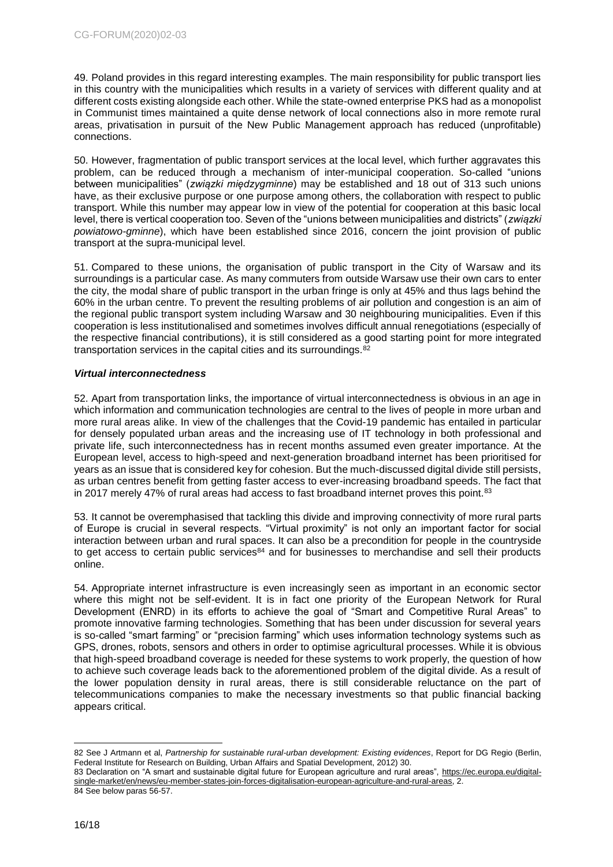49. Poland provides in this regard interesting examples. The main responsibility for public transport lies in this country with the municipalities which results in a variety of services with different quality and at different costs existing alongside each other. While the state-owned enterprise PKS had as a monopolist in Communist times maintained a quite dense network of local connections also in more remote rural areas, privatisation in pursuit of the New Public Management approach has reduced (unprofitable) connections.

50. However, fragmentation of public transport services at the local level, which further aggravates this problem, can be reduced through a mechanism of inter-municipal cooperation. So-called "unions between municipalities" (*związki międzygminne*) may be established and 18 out of 313 such unions have, as their exclusive purpose or one purpose among others, the collaboration with respect to public transport. While this number may appear low in view of the potential for cooperation at this basic local level, there is vertical cooperation too. Seven of the "unions between municipalities and districts" (*związki powiatowo-gminne*), which have been established since 2016, concern the joint provision of public transport at the supra-municipal level.

51. Compared to these unions, the organisation of public transport in the City of Warsaw and its surroundings is a particular case. As many commuters from outside Warsaw use their own cars to enter the city, the modal share of public transport in the urban fringe is only at 45% and thus lags behind the 60% in the urban centre. To prevent the resulting problems of air pollution and congestion is an aim of the regional public transport system including Warsaw and 30 neighbouring municipalities. Even if this cooperation is less institutionalised and sometimes involves difficult annual renegotiations (especially of the respective financial contributions), it is still considered as a good starting point for more integrated transportation services in the capital cities and its surroundings.<sup>82</sup>

#### <span id="page-15-0"></span>*Virtual interconnectedness*

52. Apart from transportation links, the importance of virtual interconnectedness is obvious in an age in which information and communication technologies are central to the lives of people in more urban and more rural areas alike. In view of the challenges that the Covid-19 pandemic has entailed in particular for densely populated urban areas and the increasing use of IT technology in both professional and private life, such interconnectedness has in recent months assumed even greater importance. At the European level, access to high-speed and next-generation broadband internet has been prioritised for years as an issue that is considered key for cohesion. But the much-discussed digital divide still persists, as urban centres benefit from getting faster access to ever-increasing broadband speeds. The fact that in 2017 merely 47% of rural areas had access to fast broadband internet proves this point. $83$ 

53. It cannot be overemphasised that tackling this divide and improving connectivity of more rural parts of Europe is crucial in several respects. "Virtual proximity" is not only an important factor for social interaction between urban and rural spaces. It can also be a precondition for people in the countryside to get access to certain public services<sup>84</sup> and for businesses to merchandise and sell their products online.

54. Appropriate internet infrastructure is even increasingly seen as important in an economic sector where this might not be self-evident. It is in fact one priority of the European Network for Rural Development (ENRD) in its efforts to achieve the goal of "Smart and Competitive Rural Areas" to promote innovative farming technologies. Something that has been under discussion for several years is so-called "smart farming" or "precision farming" which uses information technology systems such as GPS, drones, robots, sensors and others in order to optimise agricultural processes. While it is obvious that high-speed broadband coverage is needed for these systems to work properly, the question of how to achieve such coverage leads back to the aforementioned problem of the digital divide. As a result of the lower population density in rural areas, there is still considerable reluctance on the part of telecommunications companies to make the necessary investments so that public financial backing appears critical.

<sup>-</sup>82 See J Artmann et al, *Partnership for sustainable rural-urban development: Existing evidences*, Report for DG Regio (Berlin, Federal Institute for Research on Building, Urban Affairs and Spatial Development, 2012) 30.

<sup>83</sup> Declaration on "A smart and sustainable digital future for European agriculture and rural areas", [https://ec.europa.eu/digital](https://ec.europa.eu/digital-single-market/en/news/eu-member-states-join-forces-digitalisation-european-agriculture-and-rural-areas)[single-market/en/news/eu-member-states-join-forces-digitalisation-european-agriculture-and-rural-areas,](https://ec.europa.eu/digital-single-market/en/news/eu-member-states-join-forces-digitalisation-european-agriculture-and-rural-areas) 2. 84 See below paras 56-57.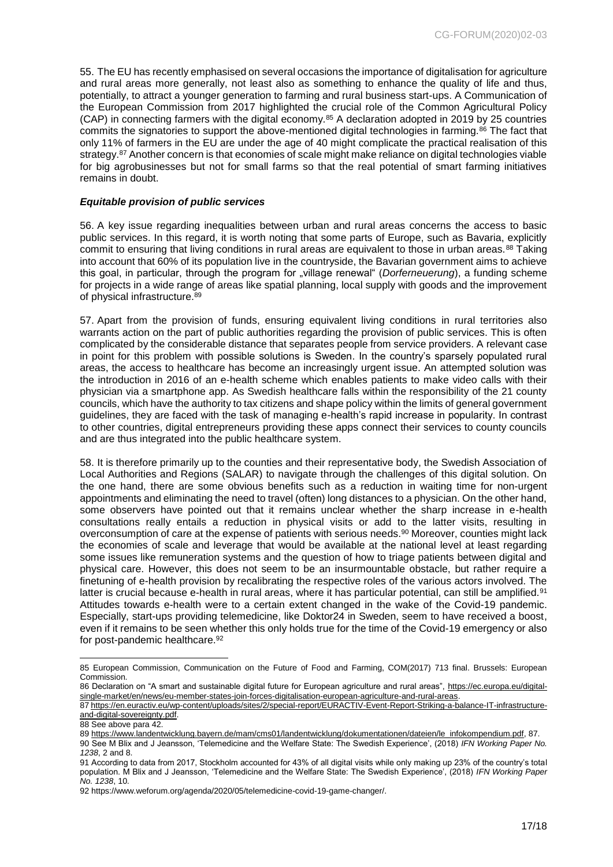55. The EU has recently emphasised on several occasions the importance of digitalisation for agriculture and rural areas more generally, not least also as something to enhance the quality of life and thus, potentially, to attract a younger generation to farming and rural business start-ups. A Communication of the European Commission from 2017 highlighted the crucial role of the Common Agricultural Policy (CAP) in connecting farmers with the digital economy.<sup>85</sup> A declaration adopted in 2019 by 25 countries commits the signatories to support the above-mentioned digital technologies in farming.<sup>86</sup> The fact that only 11% of farmers in the EU are under the age of 40 might complicate the practical realisation of this strategy.<sup>87</sup> Another concern is that economies of scale might make reliance on digital technologies viable for big agrobusinesses but not for small farms so that the real potential of smart farming initiatives remains in doubt.

#### <span id="page-16-0"></span>*Equitable provision of public services*

56. A key issue regarding inequalities between urban and rural areas concerns the access to basic public services. In this regard, it is worth noting that some parts of Europe, such as Bavaria, explicitly commit to ensuring that living conditions in rural areas are equivalent to those in urban areas.<sup>88</sup> Taking into account that 60% of its population live in the countryside, the Bavarian government aims to achieve this goal, in particular, through the program for "village renewal" (*Dorferneuerung*), a funding scheme for projects in a wide range of areas like spatial planning, local supply with goods and the improvement of physical infrastructure.<sup>89</sup>

57. Apart from the provision of funds, ensuring equivalent living conditions in rural territories also warrants action on the part of public authorities regarding the provision of public services. This is often complicated by the considerable distance that separates people from service providers. A relevant case in point for this problem with possible solutions is Sweden. In the country's sparsely populated rural areas, the access to healthcare has become an increasingly urgent issue. An attempted solution was the introduction in 2016 of an e-health scheme which enables patients to make video calls with their physician via a smartphone app. As Swedish healthcare falls within the responsibility of the 21 county councils, which have the authority to tax citizens and shape policy within the limits of general government guidelines, they are faced with the task of managing e-health's rapid increase in popularity. In contrast to other countries, digital entrepreneurs providing these apps connect their services to county councils and are thus integrated into the public healthcare system.

58. It is therefore primarily up to the counties and their representative body, the Swedish Association of Local Authorities and Regions (SALAR) to navigate through the challenges of this digital solution. On the one hand, there are some obvious benefits such as a reduction in waiting time for non-urgent appointments and eliminating the need to travel (often) long distances to a physician. On the other hand, some observers have pointed out that it remains unclear whether the sharp increase in e-health consultations really entails a reduction in physical visits or add to the latter visits, resulting in overconsumption of care at the expense of patients with serious needs.<sup>90</sup> Moreover, counties might lack the economies of scale and leverage that would be available at the national level at least regarding some issues like remuneration systems and the question of how to triage patients between digital and physical care. However, this does not seem to be an insurmountable obstacle, but rather require a finetuning of e-health provision by recalibrating the respective roles of the various actors involved. The latter is crucial because e-health in rural areas, where it has particular potential, can still be amplified.<sup>91</sup> Attitudes towards e-health were to a certain extent changed in the wake of the Covid-19 pandemic. Especially, start-ups providing telemedicine, like Doktor24 in Sweden, seem to have received a boost, even if it remains to be seen whether this only holds true for the time of the Covid-19 emergency or also for post-pandemic healthcare.<sup>92</sup>

<sup>85</sup> European Commission, Communication on the Future of Food and Farming, COM(2017) 713 final. Brussels: European Commission.

<sup>86</sup> Declaration on "A smart and sustainable digital future for European agriculture and rural areas", [https://ec.europa.eu/digital](https://ec.europa.eu/digital-single-market/en/news/eu-member-states-join-forces-digitalisation-european-agriculture-and-rural-areas)[single-market/en/news/eu-member-states-join-forces-digitalisation-european-agriculture-and-rural-areas.](https://ec.europa.eu/digital-single-market/en/news/eu-member-states-join-forces-digitalisation-european-agriculture-and-rural-areas)

<sup>87</sup> [https://en.euractiv.eu/wp-content/uploads/sites/2/special-report/EURACTIV-Event-Report-Striking-a-balance-IT-infrastructure](https://en.euractiv.eu/wp-content/uploads/sites/2/special-report/EURACTIV-Event-Report-Striking-a-balance-IT-infrastructure-and-digital-sovereignty.pdf)[and-digital-sovereignty.pdf.](https://en.euractiv.eu/wp-content/uploads/sites/2/special-report/EURACTIV-Event-Report-Striking-a-balance-IT-infrastructure-and-digital-sovereignty.pdf)

<sup>88</sup> See above para 42.

<sup>89</sup> [https://www.landentwicklung.bayern.de/mam/cms01/landentwicklung/dokumentationen/dateien/le\\_infokompendium.pdf,](https://www.landentwicklung.bayern.de/mam/cms01/landentwicklung/dokumentationen/dateien/le_infokompendium.pdf) 87.

<sup>90</sup> See M Blix and J Jeansson, 'Telemedicine and the Welfare State: The Swedish Experience', (2018) *IFN Working Paper No. 1238*, 2 and 8.

<sup>91</sup> According to data from 2017, Stockholm accounted for 43% of all digital visits while only making up 23% of the country's total population. M Blix and J Jeansson, 'Telemedicine and the Welfare State: The Swedish Experience', (2018) *IFN Working Paper No. 1238*, 10.

<sup>92</sup> https://www.weforum.org/agenda/2020/05/telemedicine-covid-19-game-changer/.